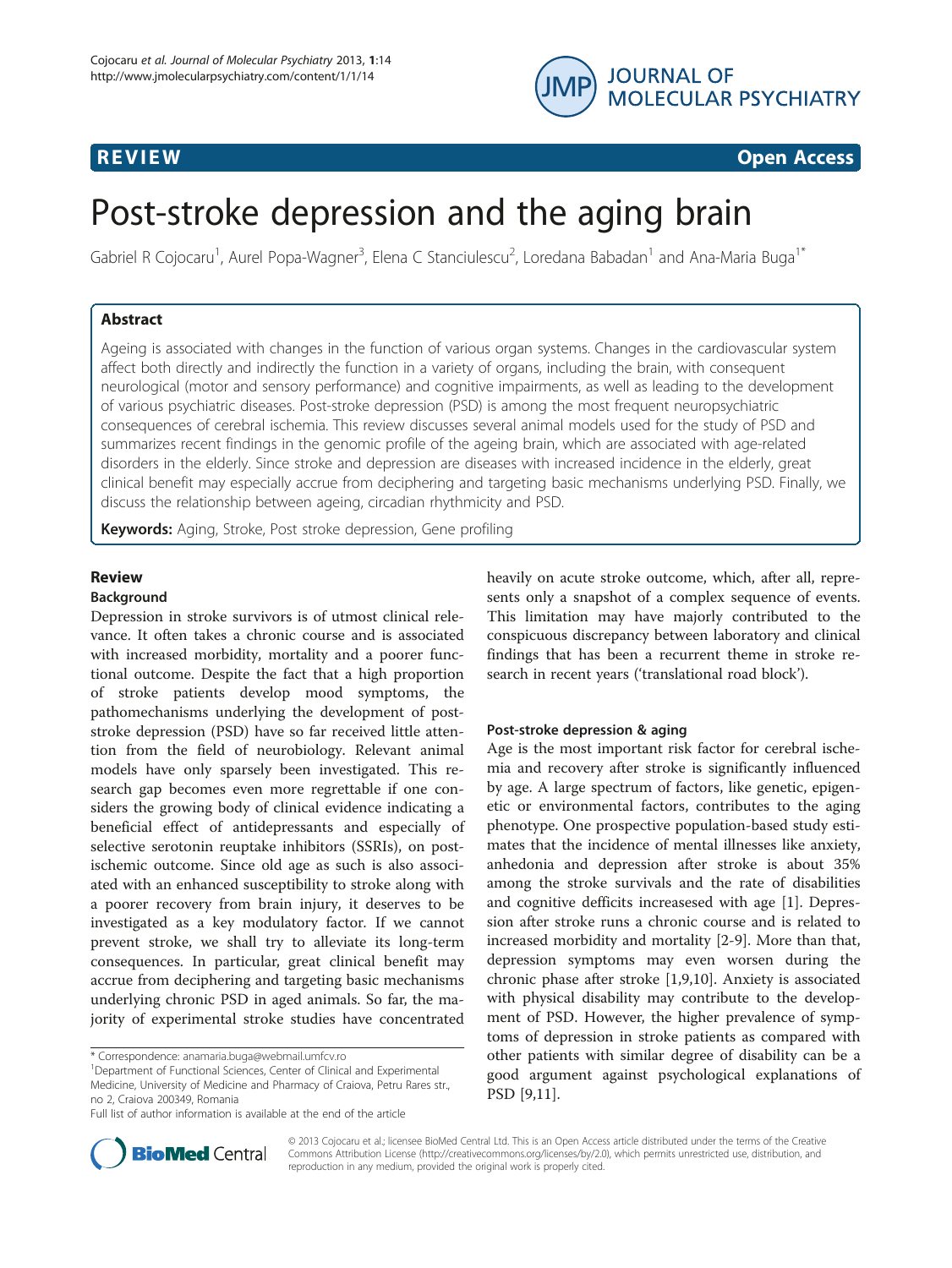



# Post-stroke depression and the aging brain

Gabriel R Cojocaru<sup>1</sup>, Aurel Popa-Wagner<sup>3</sup>, Elena C Stanciulescu<sup>2</sup>, Loredana Babadan<sup>1</sup> and Ana-Maria Buga<sup>1\*</sup>

# Abstract

Ageing is associated with changes in the function of various organ systems. Changes in the cardiovascular system affect both directly and indirectly the function in a variety of organs, including the brain, with consequent neurological (motor and sensory performance) and cognitive impairments, as well as leading to the development of various psychiatric diseases. Post-stroke depression (PSD) is among the most frequent neuropsychiatric consequences of cerebral ischemia. This review discusses several animal models used for the study of PSD and summarizes recent findings in the genomic profile of the ageing brain, which are associated with age-related disorders in the elderly. Since stroke and depression are diseases with increased incidence in the elderly, great clinical benefit may especially accrue from deciphering and targeting basic mechanisms underlying PSD. Finally, we discuss the relationship between ageing, circadian rhythmicity and PSD.

Keywords: Aging, Stroke, Post stroke depression, Gene profiling

# Review

# Background

Depression in stroke survivors is of utmost clinical relevance. It often takes a chronic course and is associated with increased morbidity, mortality and a poorer functional outcome. Despite the fact that a high proportion of stroke patients develop mood symptoms, the pathomechanisms underlying the development of poststroke depression (PSD) have so far received little attention from the field of neurobiology. Relevant animal models have only sparsely been investigated. This research gap becomes even more regrettable if one considers the growing body of clinical evidence indicating a beneficial effect of antidepressants and especially of selective serotonin reuptake inhibitors (SSRIs), on postischemic outcome. Since old age as such is also associated with an enhanced susceptibility to stroke along with a poorer recovery from brain injury, it deserves to be investigated as a key modulatory factor. If we cannot prevent stroke, we shall try to alleviate its long-term consequences. In particular, great clinical benefit may accrue from deciphering and targeting basic mechanisms underlying chronic PSD in aged animals. So far, the majority of experimental stroke studies have concentrated

heavily on acute stroke outcome, which, after all, represents only a snapshot of a complex sequence of events. This limitation may have majorly contributed to the conspicuous discrepancy between laboratory and clinical findings that has been a recurrent theme in stroke research in recent years ('translational road block').

# Post-stroke depression & aging

Age is the most important risk factor for cerebral ischemia and recovery after stroke is significantly influenced by age. A large spectrum of factors, like genetic, epigenetic or environmental factors, contributes to the aging phenotype. One prospective population-based study estimates that the incidence of mental illnesses like anxiety, anhedonia and depression after stroke is about 35% among the stroke survivals and the rate of disabilities and cognitive defficits increasesed with age [\[1](#page-6-0)]. Depression after stroke runs a chronic course and is related to increased morbidity and mortality [\[2](#page-6-0)-[9\]](#page-6-0). More than that, depression symptoms may even worsen during the chronic phase after stroke [[1](#page-6-0),[9](#page-6-0),[10](#page-6-0)]. Anxiety is associated with physical disability may contribute to the development of PSD. However, the higher prevalence of symptoms of depression in stroke patients as compared with other patients with similar degree of disability can be a good argument against psychological explanations of PSD [[9](#page-6-0),[11](#page-6-0)].



© 2013 Cojocaru et al.; licensee BioMed Central Ltd. This is an Open Access article distributed under the terms of the Creative Commons Attribution License [\(http://creativecommons.org/licenses/by/2.0\)](http://creativecommons.org/licenses/by/2.0), which permits unrestricted use, distribution, and reproduction in any medium, provided the original work is properly cited.

<sup>\*</sup> Correspondence: [anamaria.buga@webmail.umfcv.ro](mailto:anamaria.buga@webmail.umfcv.ro) <sup>1</sup>

<sup>&</sup>lt;sup>1</sup>Department of Functional Sciences, Center of Clinical and Experimental Medicine, University of Medicine and Pharmacy of Craiova, Petru Rares str., no 2, Craiova 200349, Romania

Full list of author information is available at the end of the article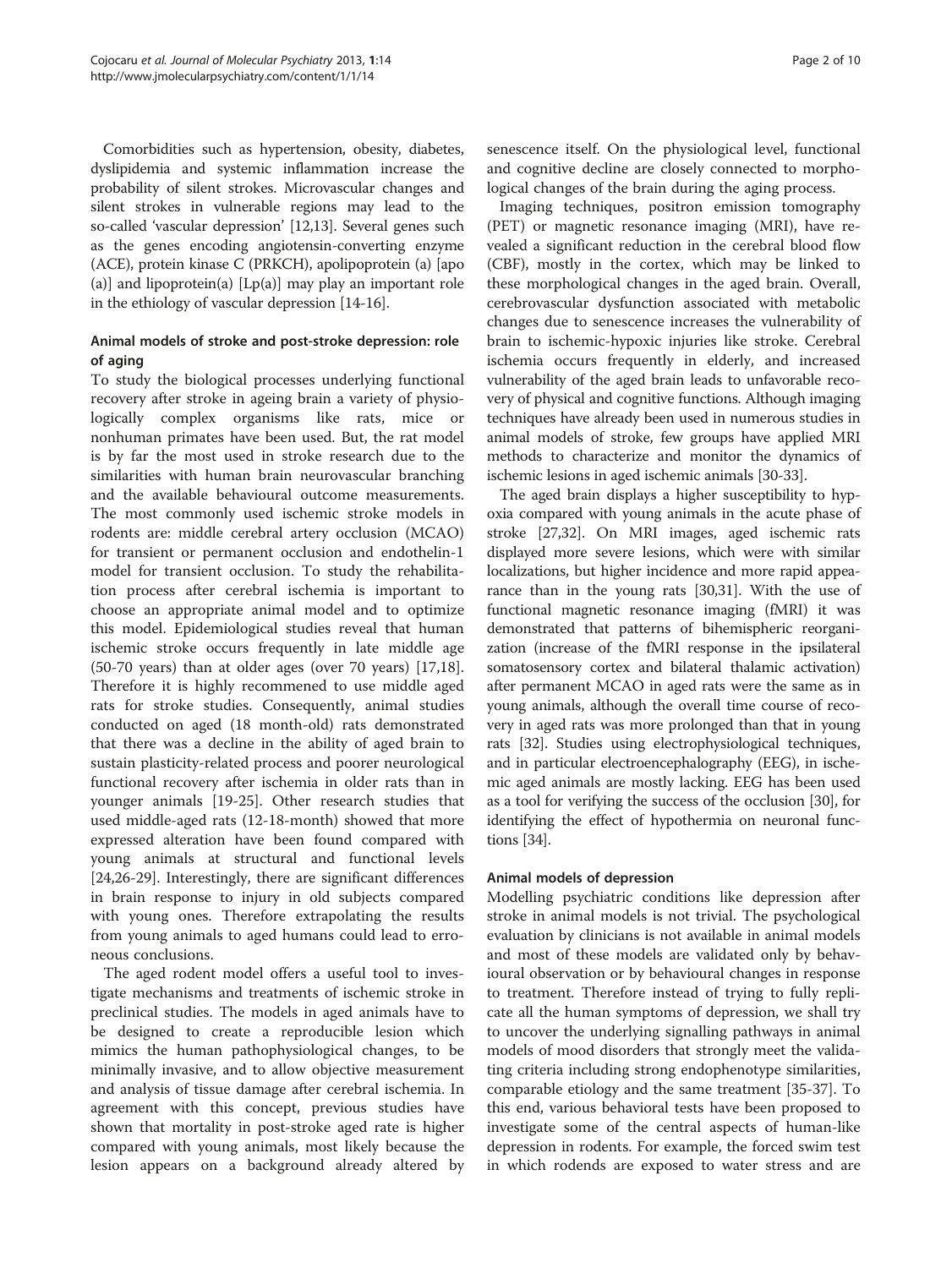Comorbidities such as hypertension, obesity, diabetes, dyslipidemia and systemic inflammation increase the probability of silent strokes. Microvascular changes and silent strokes in vulnerable regions may lead to the so-called 'vascular depression' [\[12,13\]](#page-6-0). Several genes such as the genes encoding angiotensin-converting enzyme (ACE), protein kinase C (PRKCH), apolipoprotein (a) [apo (a)] and lipoprotein(a)  $[Lp(a)]$  may play an important role in the ethiology of vascular depression [[14-16\]](#page-6-0).

# Animal models of stroke and post-stroke depression: role of aging

To study the biological processes underlying functional recovery after stroke in ageing brain a variety of physiologically complex organisms like rats, mice or nonhuman primates have been used. But, the rat model is by far the most used in stroke research due to the similarities with human brain neurovascular branching and the available behavioural outcome measurements. The most commonly used ischemic stroke models in rodents are: middle cerebral artery occlusion (MCAO) for transient or permanent occlusion and endothelin-1 model for transient occlusion. To study the rehabilitation process after cerebral ischemia is important to choose an appropriate animal model and to optimize this model. Epidemiological studies reveal that human ischemic stroke occurs frequently in late middle age (50-70 years) than at older ages (over 70 years) [\[17,18](#page-7-0)]. Therefore it is highly recommened to use middle aged rats for stroke studies. Consequently, animal studies conducted on aged (18 month-old) rats demonstrated that there was a decline in the ability of aged brain to sustain plasticity-related process and poorer neurological functional recovery after ischemia in older rats than in younger animals [[19-25](#page-7-0)]. Other research studies that used middle-aged rats (12-18-month) showed that more expressed alteration have been found compared with young animals at structural and functional levels [[24,26-29\]](#page-7-0). Interestingly, there are significant differences in brain response to injury in old subjects compared with young ones. Therefore extrapolating the results from young animals to aged humans could lead to erroneous conclusions.

The aged rodent model offers a useful tool to investigate mechanisms and treatments of ischemic stroke in preclinical studies. The models in aged animals have to be designed to create a reproducible lesion which mimics the human pathophysiological changes, to be minimally invasive, and to allow objective measurement and analysis of tissue damage after cerebral ischemia. In agreement with this concept, previous studies have shown that mortality in post-stroke aged rate is higher compared with young animals, most likely because the lesion appears on a background already altered by

senescence itself. On the physiological level, functional and cognitive decline are closely connected to morphological changes of the brain during the aging process.

Imaging techniques, positron emission tomography (PET) or magnetic resonance imaging (MRI), have revealed a significant reduction in the cerebral blood flow (CBF), mostly in the cortex, which may be linked to these morphological changes in the aged brain. Overall, cerebrovascular dysfunction associated with metabolic changes due to senescence increases the vulnerability of brain to ischemic-hypoxic injuries like stroke. Cerebral ischemia occurs frequently in elderly, and increased vulnerability of the aged brain leads to unfavorable recovery of physical and cognitive functions. Although imaging techniques have already been used in numerous studies in animal models of stroke, few groups have applied MRI methods to characterize and monitor the dynamics of ischemic lesions in aged ischemic animals [\[30-33\]](#page-7-0).

The aged brain displays a higher susceptibility to hypoxia compared with young animals in the acute phase of stroke [[27,32\]](#page-7-0). On MRI images, aged ischemic rats displayed more severe lesions, which were with similar localizations, but higher incidence and more rapid appearance than in the young rats [[30,31\]](#page-7-0). With the use of functional magnetic resonance imaging (fMRI) it was demonstrated that patterns of bihemispheric reorganization (increase of the fMRI response in the ipsilateral somatosensory cortex and bilateral thalamic activation) after permanent MCAO in aged rats were the same as in young animals, although the overall time course of recovery in aged rats was more prolonged than that in young rats [\[32\]](#page-7-0). Studies using electrophysiological techniques, and in particular electroencephalography (EEG), in ischemic aged animals are mostly lacking. EEG has been used as a tool for verifying the success of the occlusion [[30](#page-7-0)], for identifying the effect of hypothermia on neuronal functions [\[34\]](#page-7-0).

# Animal models of depression

Modelling psychiatric conditions like depression after stroke in animal models is not trivial. The psychological evaluation by clinicians is not available in animal models and most of these models are validated only by behavioural observation or by behavioural changes in response to treatment. Therefore instead of trying to fully replicate all the human symptoms of depression, we shall try to uncover the underlying signalling pathways in animal models of mood disorders that strongly meet the validating criteria including strong endophenotype similarities, comparable etiology and the same treatment [\[35](#page-7-0)-[37](#page-7-0)]. To this end, various behavioral tests have been proposed to investigate some of the central aspects of human-like depression in rodents. For example, the forced swim test in which rodends are exposed to water stress and are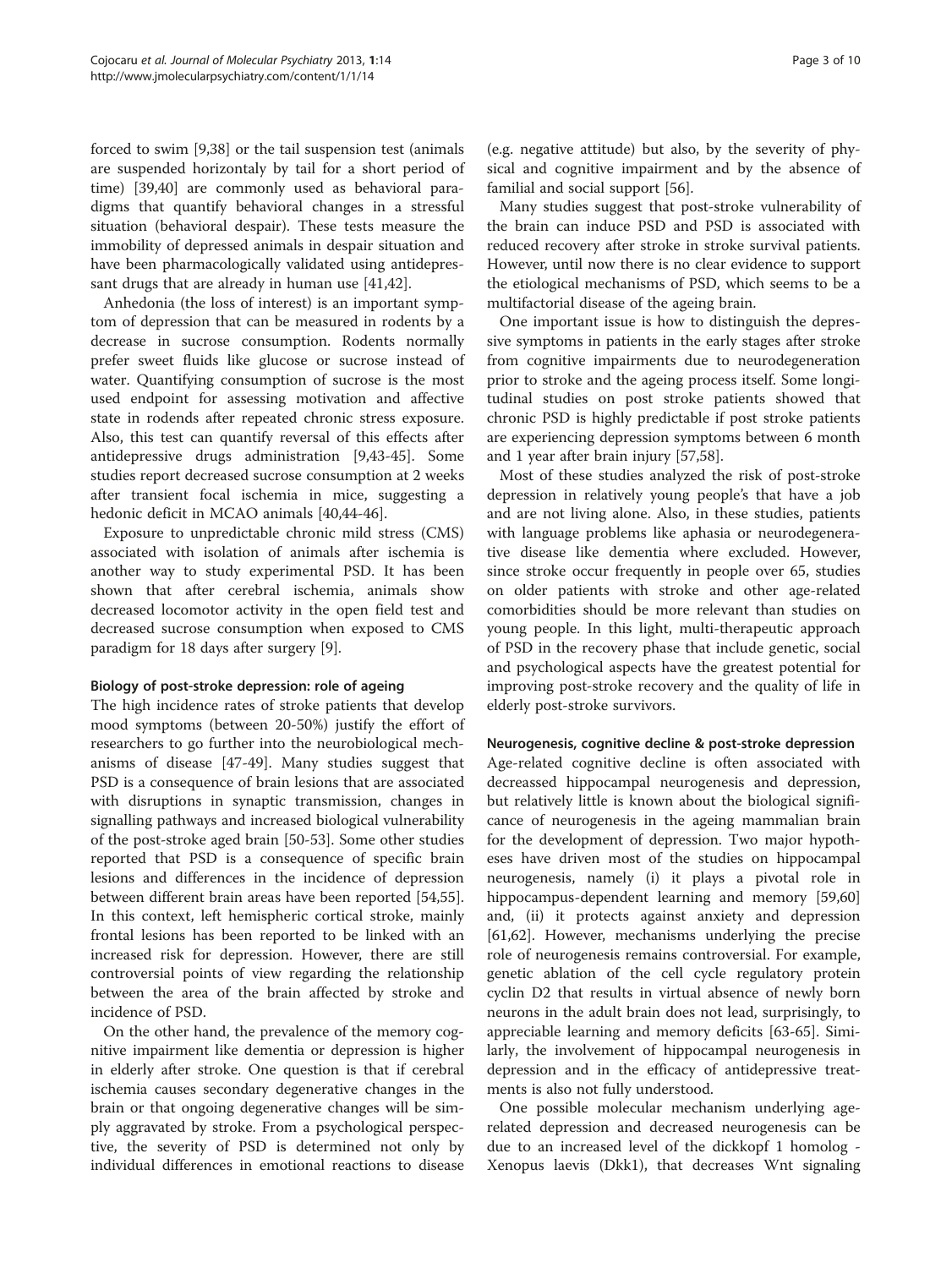forced to swim [\[9](#page-6-0)[,38](#page-7-0)] or the tail suspension test (animals are suspended horizontaly by tail for a short period of time) [[39,40\]](#page-7-0) are commonly used as behavioral paradigms that quantify behavioral changes in a stressful situation (behavioral despair). These tests measure the immobility of depressed animals in despair situation and have been pharmacologically validated using antidepressant drugs that are already in human use [[41,42](#page-7-0)].

Anhedonia (the loss of interest) is an important symptom of depression that can be measured in rodents by a decrease in sucrose consumption. Rodents normally prefer sweet fluids like glucose or sucrose instead of water. Quantifying consumption of sucrose is the most used endpoint for assessing motivation and affective state in rodends after repeated chronic stress exposure. Also, this test can quantify reversal of this effects after antidepressive drugs administration [\[9](#page-6-0)[,43-45](#page-7-0)]. Some studies report decreased sucrose consumption at 2 weeks after transient focal ischemia in mice, suggesting a hedonic deficit in MCAO animals [\[40,44-46](#page-7-0)].

Exposure to unpredictable chronic mild stress (CMS) associated with isolation of animals after ischemia is another way to study experimental PSD. It has been shown that after cerebral ischemia, animals show decreased locomotor activity in the open field test and decreased sucrose consumption when exposed to CMS paradigm for 18 days after surgery [[9\]](#page-6-0).

# Biology of post-stroke depression: role of ageing

The high incidence rates of stroke patients that develop mood symptoms (between 20-50%) justify the effort of researchers to go further into the neurobiological mechanisms of disease [[47-49\]](#page-7-0). Many studies suggest that PSD is a consequence of brain lesions that are associated with disruptions in synaptic transmission, changes in signalling pathways and increased biological vulnerability of the post-stroke aged brain [[50-53\]](#page-7-0). Some other studies reported that PSD is a consequence of specific brain lesions and differences in the incidence of depression between different brain areas have been reported [\[54,55](#page-7-0)]. In this context, left hemispheric cortical stroke, mainly frontal lesions has been reported to be linked with an increased risk for depression. However, there are still controversial points of view regarding the relationship between the area of the brain affected by stroke and incidence of PSD.

On the other hand, the prevalence of the memory cognitive impairment like dementia or depression is higher in elderly after stroke. One question is that if cerebral ischemia causes secondary degenerative changes in the brain or that ongoing degenerative changes will be simply aggravated by stroke. From a psychological perspective, the severity of PSD is determined not only by individual differences in emotional reactions to disease

(e.g. negative attitude) but also, by the severity of physical and cognitive impairment and by the absence of familial and social support [\[56\]](#page-7-0).

Many studies suggest that post-stroke vulnerability of the brain can induce PSD and PSD is associated with reduced recovery after stroke in stroke survival patients. However, until now there is no clear evidence to support the etiological mechanisms of PSD, which seems to be a multifactorial disease of the ageing brain.

One important issue is how to distinguish the depressive symptoms in patients in the early stages after stroke from cognitive impairments due to neurodegeneration prior to stroke and the ageing process itself. Some longitudinal studies on post stroke patients showed that chronic PSD is highly predictable if post stroke patients are experiencing depression symptoms between 6 month and 1 year after brain injury [[57,58\]](#page-7-0).

Most of these studies analyzed the risk of post-stroke depression in relatively young people's that have a job and are not living alone. Also, in these studies, patients with language problems like aphasia or neurodegenerative disease like dementia where excluded. However, since stroke occur frequently in people over 65, studies on older patients with stroke and other age-related comorbidities should be more relevant than studies on young people. In this light, multi-therapeutic approach of PSD in the recovery phase that include genetic, social and psychological aspects have the greatest potential for improving post-stroke recovery and the quality of life in elderly post-stroke survivors.

# Neurogenesis, cognitive decline & post-stroke depression

Age-related cognitive decline is often associated with decreassed hippocampal neurogenesis and depression, but relatively little is known about the biological significance of neurogenesis in the ageing mammalian brain for the development of depression. Two major hypotheses have driven most of the studies on hippocampal neurogenesis, namely (i) it plays a pivotal role in hippocampus-dependent learning and memory [[59](#page-7-0),[60](#page-7-0)] and, (ii) it protects against anxiety and depression [[61,](#page-7-0)[62\]](#page-8-0). However, mechanisms underlying the precise role of neurogenesis remains controversial. For example, genetic ablation of the cell cycle regulatory protein cyclin D2 that results in virtual absence of newly born neurons in the adult brain does not lead, surprisingly, to appreciable learning and memory deficits [\[63](#page-8-0)-[65\]](#page-8-0). Similarly, the involvement of hippocampal neurogenesis in depression and in the efficacy of antidepressive treatments is also not fully understood.

One possible molecular mechanism underlying agerelated depression and decreased neurogenesis can be due to an increased level of the dickkopf 1 homolog - Xenopus laevis (Dkk1), that decreases Wnt signaling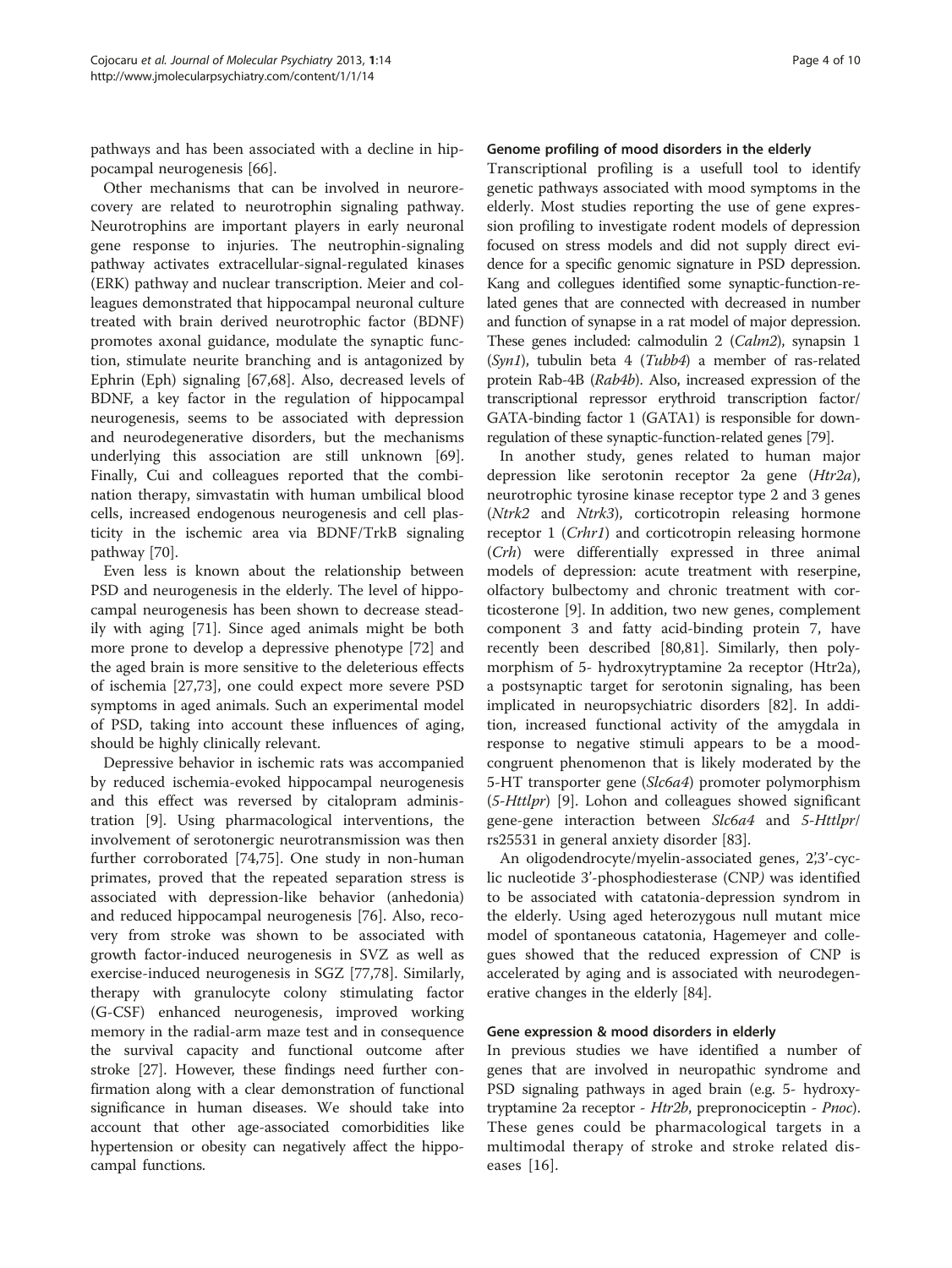pathways and has been associated with a decline in hippocampal neurogenesis [\[66\]](#page-8-0).

Other mechanisms that can be involved in neurorecovery are related to neurotrophin signaling pathway. Neurotrophins are important players in early neuronal gene response to injuries. The neutrophin-signaling pathway activates extracellular-signal-regulated kinases (ERK) pathway and nuclear transcription. Meier and colleagues demonstrated that hippocampal neuronal culture treated with brain derived neurotrophic factor (BDNF) promotes axonal guidance, modulate the synaptic function, stimulate neurite branching and is antagonized by Ephrin (Eph) signaling [\[67,68](#page-8-0)]. Also, decreased levels of BDNF, a key factor in the regulation of hippocampal neurogenesis, seems to be associated with depression and neurodegenerative disorders, but the mechanisms underlying this association are still unknown [\[69](#page-8-0)]. Finally, Cui and colleagues reported that the combination therapy, simvastatin with human umbilical blood cells, increased endogenous neurogenesis and cell plasticity in the ischemic area via BDNF/TrkB signaling pathway [[70](#page-8-0)].

Even less is known about the relationship between PSD and neurogenesis in the elderly. The level of hippocampal neurogenesis has been shown to decrease steadily with aging [\[71](#page-8-0)]. Since aged animals might be both more prone to develop a depressive phenotype [[72\]](#page-8-0) and the aged brain is more sensitive to the deleterious effects of ischemia [\[27](#page-7-0)[,73](#page-8-0)], one could expect more severe PSD symptoms in aged animals. Such an experimental model of PSD, taking into account these influences of aging, should be highly clinically relevant.

Depressive behavior in ischemic rats was accompanied by reduced ischemia-evoked hippocampal neurogenesis and this effect was reversed by citalopram administration [\[9\]](#page-6-0). Using pharmacological interventions, the involvement of serotonergic neurotransmission was then further corroborated [\[74,75\]](#page-8-0). One study in non-human primates, proved that the repeated separation stress is associated with depression-like behavior (anhedonia) and reduced hippocampal neurogenesis [[76\]](#page-8-0). Also, recovery from stroke was shown to be associated with growth factor-induced neurogenesis in SVZ as well as exercise-induced neurogenesis in SGZ [[77,78\]](#page-8-0). Similarly, therapy with granulocyte colony stimulating factor (G-CSF) enhanced neurogenesis, improved working memory in the radial-arm maze test and in consequence the survival capacity and functional outcome after stroke [[27](#page-7-0)]. However, these findings need further confirmation along with a clear demonstration of functional significance in human diseases. We should take into account that other age-associated comorbidities like hypertension or obesity can negatively affect the hippocampal functions.

# Genome profiling of mood disorders in the elderly

Transcriptional profiling is a usefull tool to identify genetic pathways associated with mood symptoms in the elderly. Most studies reporting the use of gene expression profiling to investigate rodent models of depression focused on stress models and did not supply direct evidence for a specific genomic signature in PSD depression. Kang and collegues identified some synaptic-function-related genes that are connected with decreased in number and function of synapse in a rat model of major depression. These genes included: calmodulin 2 (Calm2), synapsin 1 (Syn1), tubulin beta 4 (Tubb4) a member of ras-related protein Rab-4B (Rab4b). Also, increased expression of the transcriptional repressor erythroid transcription factor/ GATA-binding factor 1 (GATA1) is responsible for downregulation of these synaptic-function-related genes [[79\]](#page-8-0).

In another study, genes related to human major depression like serotonin receptor 2a gene (Htr2a), neurotrophic tyrosine kinase receptor type 2 and 3 genes (Ntrk2 and Ntrk3), corticotropin releasing hormone receptor 1 (Crhr1) and corticotropin releasing hormone (Crh) were differentially expressed in three animal models of depression: acute treatment with reserpine, olfactory bulbectomy and chronic treatment with corticosterone [\[9](#page-6-0)]. In addition, two new genes, complement component 3 and fatty acid-binding protein 7, have recently been described [\[80,81](#page-8-0)]. Similarly, then polymorphism of 5- hydroxytryptamine 2a receptor (Htr2a), a postsynaptic target for serotonin signaling, has been implicated in neuropsychiatric disorders [[82\]](#page-8-0). In addition, increased functional activity of the amygdala in response to negative stimuli appears to be a moodcongruent phenomenon that is likely moderated by the 5-HT transporter gene (Slc6a4) promoter polymorphism (5-Httlpr) [[9\]](#page-6-0). Lohon and colleagues showed significant gene-gene interaction between Slc6a4 and 5-Httlpr/ rs25531 in general anxiety disorder [[83\]](#page-8-0).

An oligodendrocyte/myelin-associated genes, 2',3'-cyclic nucleotide 3'-phosphodiesterase (CNP) was identified to be associated with catatonia-depression syndrom in the elderly. Using aged heterozygous null mutant mice model of spontaneous catatonia, Hagemeyer and collegues showed that the reduced expression of CNP is accelerated by aging and is associated with neurodegenerative changes in the elderly [\[84](#page-8-0)].

# Gene expression & mood disorders in elderly

In previous studies we have identified a number of genes that are involved in neuropathic syndrome and PSD signaling pathways in aged brain (e.g. 5- hydroxytryptamine 2a receptor - Htr2b, prepronociceptin - Pnoc). These genes could be pharmacological targets in a multimodal therapy of stroke and stroke related diseases [[16](#page-6-0)].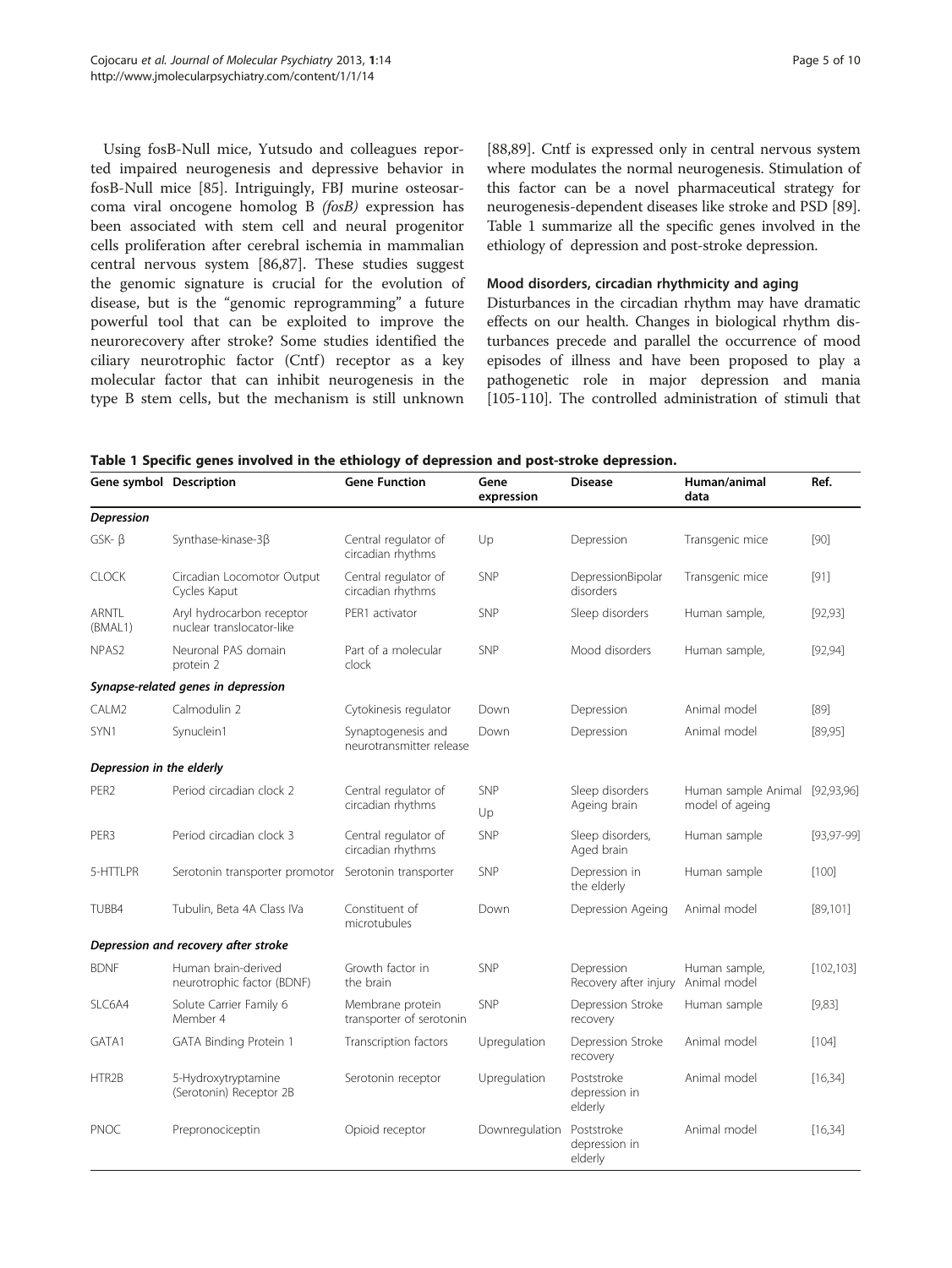Using fosB-Null mice, Yutsudo and colleagues reported impaired neurogenesis and depressive behavior in fosB-Null mice [\[85](#page-8-0)]. Intriguingly, FBJ murine osteosarcoma viral oncogene homolog B (fosB) expression has been associated with stem cell and neural progenitor cells proliferation after cerebral ischemia in mammalian central nervous system [[86](#page-8-0),[87](#page-8-0)]. These studies suggest the genomic signature is crucial for the evolution of disease, but is the "genomic reprogramming" a future powerful tool that can be exploited to improve the neurorecovery after stroke? Some studies identified the ciliary neurotrophic factor (Cntf) receptor as a key molecular factor that can inhibit neurogenesis in the type B stem cells, but the mechanism is still unknown

[[88,89\]](#page-8-0). Cntf is expressed only in central nervous system where modulates the normal neurogenesis. Stimulation of this factor can be a novel pharmaceutical strategy for neurogenesis-dependent diseases like stroke and PSD [[89](#page-8-0)]. Table 1 summarize all the specific genes involved in the ethiology of depression and post-stroke depression.

## Mood disorders, circadian rhythmicity and aging

Disturbances in the circadian rhythm may have dramatic effects on our health. Changes in biological rhythm disturbances precede and parallel the occurrence of mood episodes of illness and have been proposed to play a pathogenetic role in major depression and mania [[105](#page-9-0)-[110](#page-9-0)]. The controlled administration of stimuli that

Table 1 Specific genes involved in the ethiology of depression and post-stroke depression.

| Gene symbol Description              |                                                        | <b>Gene Function</b>                           | Gene<br>expression | <b>Disease</b>                         | Human/animal<br>data                              | Ref.            |
|--------------------------------------|--------------------------------------------------------|------------------------------------------------|--------------------|----------------------------------------|---------------------------------------------------|-----------------|
| Depression                           |                                                        |                                                |                    |                                        |                                                   |                 |
| $GSK - \beta$                        | Synthase-kinase-3β                                     | Central regulator of<br>circadian rhythms      | Up                 | Depression                             | Transgenic mice                                   | [90]            |
| <b>CLOCK</b>                         | Circadian Locomotor Output<br>Cycles Kaput             | Central regulator of<br>circadian rhythms      | SNP                | DepressionBipolar<br>disorders         | Transgenic mice                                   | $[91]$          |
| <b>ARNTL</b><br>(BMAL1)              | Aryl hydrocarbon receptor<br>nuclear translocator-like | PER1 activator                                 | <b>SNP</b>         | Sleep disorders                        | Human sample,                                     | [92, 93]        |
| NPAS <sub>2</sub>                    | Neuronal PAS domain<br>protein 2                       | Part of a molecular<br>clock                   | <b>SNP</b>         | Mood disorders                         | Human sample,                                     | [92, 94]        |
|                                      | Synapse-related genes in depression                    |                                                |                    |                                        |                                                   |                 |
| CALM2                                | Calmodulin 2                                           | Cytokinesis regulator                          | Down               | Depression                             | Animal model                                      | [89]            |
| SYN1                                 | Synuclein1                                             | Synaptogenesis and<br>neurotransmitter release | Down               | Depression                             | Animal model                                      | [89, 95]        |
| Depression in the elderly            |                                                        |                                                |                    |                                        |                                                   |                 |
| PER <sub>2</sub>                     | Period circadian clock 2                               | Central regulator of<br>circadian rhythms      | <b>SNP</b>         | Sleep disorders<br>Ageing brain        | Human sample Animal [92,93,96]<br>model of ageing |                 |
|                                      |                                                        |                                                | Up                 |                                        |                                                   |                 |
| PER3                                 | Period circadian clock 3                               | Central regulator of<br>circadian rhythms      | <b>SNP</b>         | Sleep disorders,<br>Aged brain         | Human sample                                      | $[93, 97 - 99]$ |
| 5-HTTLPR                             | Serotonin transporter promotor                         | Serotonin transporter                          | <b>SNP</b>         | Depression in<br>the elderly           | Human sample                                      | [100]           |
| TUBB4                                | Tubulin, Beta 4A Class IVa                             | Constituent of<br>microtubules                 | Down               | Depression Ageing                      | Animal model                                      | [89, 101]       |
| Depression and recovery after stroke |                                                        |                                                |                    |                                        |                                                   |                 |
| <b>BDNF</b>                          | Human brain-derived<br>neurotrophic factor (BDNF)      | Growth factor in<br>the brain                  | <b>SNP</b>         | Depression<br>Recovery after injury    | Human sample,<br>Animal model                     | [102, 103]      |
| SLC6A4                               | Solute Carrier Family 6<br>Member 4                    | Membrane protein<br>transporter of serotonin   | SNP                | Depression Stroke<br>recovery          | Human sample                                      | [9,83]          |
| GATA1                                | GATA Binding Protein 1                                 | Transcription factors                          | Upregulation       | Depression Stroke<br>recovery          | Animal model                                      | [104]           |
| HTR2B                                | 5-Hydroxytryptamine<br>(Serotonin) Receptor 2B         | Serotonin receptor                             | Upregulation       | Poststroke<br>depression in<br>elderly | Animal model                                      | [16, 34]        |
| <b>PNOC</b>                          | Prepronociceptin                                       | Opioid receptor                                | Downregulation     | Poststroke<br>depression in<br>elderly | Animal model                                      | [16, 34]        |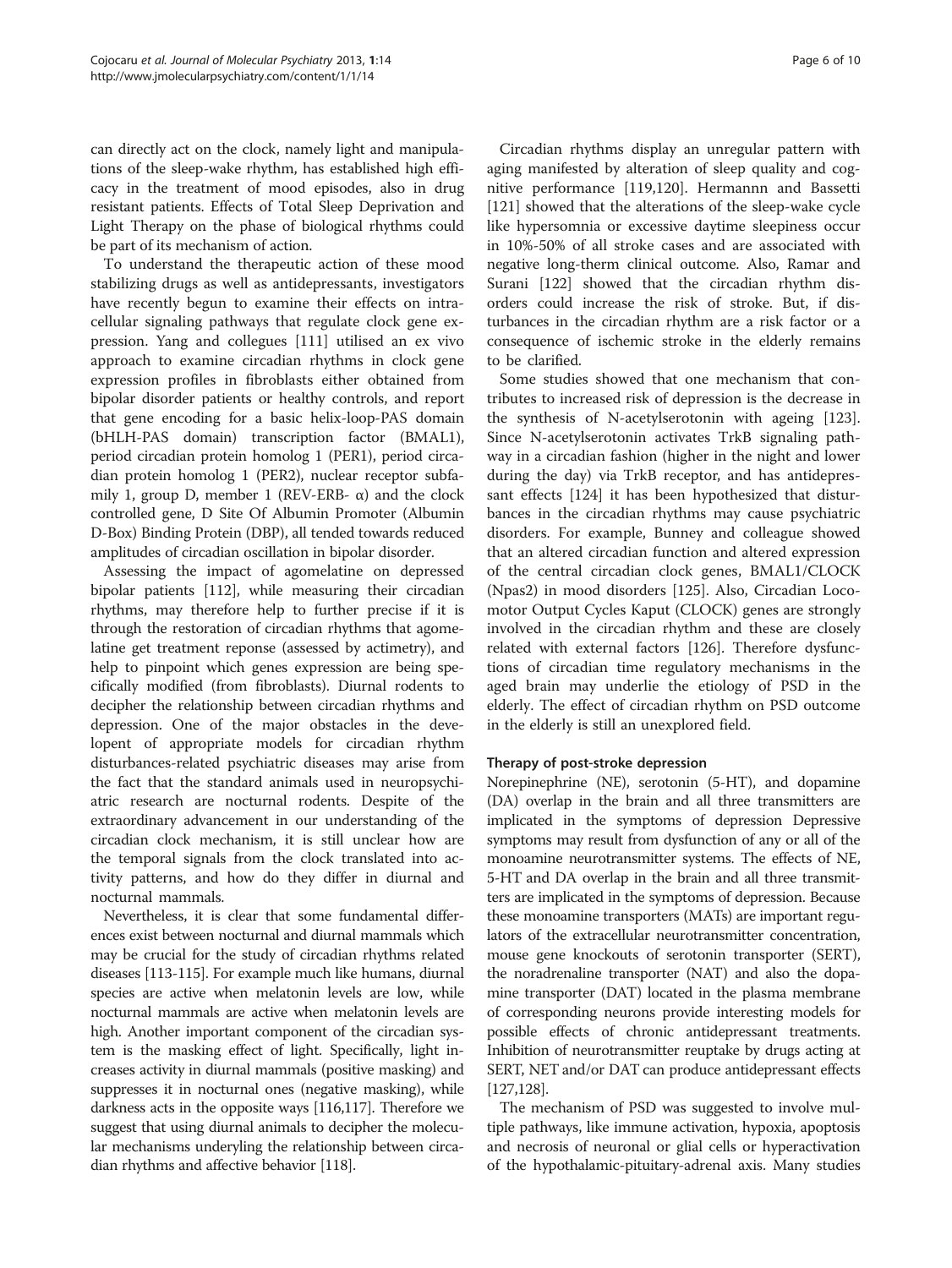can directly act on the clock, namely light and manipulations of the sleep-wake rhythm, has established high efficacy in the treatment of mood episodes, also in drug resistant patients. Effects of Total Sleep Deprivation and Light Therapy on the phase of biological rhythms could be part of its mechanism of action.

To understand the therapeutic action of these mood stabilizing drugs as well as antidepressants, investigators have recently begun to examine their effects on intracellular signaling pathways that regulate clock gene expression. Yang and collegues [[111\]](#page-9-0) utilised an ex vivo approach to examine circadian rhythms in clock gene expression profiles in fibroblasts either obtained from bipolar disorder patients or healthy controls, and report that gene encoding for a basic helix-loop-PAS domain (bHLH-PAS domain) transcription factor (BMAL1), period circadian protein homolog 1 (PER1), period circadian protein homolog 1 (PER2), nuclear receptor subfamily 1, group D, member 1 (REV-ERB- $\alpha$ ) and the clock controlled gene, D Site Of Albumin Promoter (Albumin D-Box) Binding Protein (DBP), all tended towards reduced amplitudes of circadian oscillation in bipolar disorder.

Assessing the impact of agomelatine on depressed bipolar patients [[112](#page-9-0)], while measuring their circadian rhythms, may therefore help to further precise if it is through the restoration of circadian rhythms that agomelatine get treatment reponse (assessed by actimetry), and help to pinpoint which genes expression are being specifically modified (from fibroblasts). Diurnal rodents to decipher the relationship between circadian rhythms and depression. One of the major obstacles in the developent of appropriate models for circadian rhythm disturbances-related psychiatric diseases may arise from the fact that the standard animals used in neuropsychiatric research are nocturnal rodents. Despite of the extraordinary advancement in our understanding of the circadian clock mechanism, it is still unclear how are the temporal signals from the clock translated into activity patterns, and how do they differ in diurnal and nocturnal mammals.

Nevertheless, it is clear that some fundamental differences exist between nocturnal and diurnal mammals which may be crucial for the study of circadian rhythms related diseases [\[113-115](#page-9-0)]. For example much like humans, diurnal species are active when melatonin levels are low, while nocturnal mammals are active when melatonin levels are high. Another important component of the circadian system is the masking effect of light. Specifically, light increases activity in diurnal mammals (positive masking) and suppresses it in nocturnal ones (negative masking), while darkness acts in the opposite ways [\[116,117\]](#page-9-0). Therefore we suggest that using diurnal animals to decipher the molecular mechanisms underyling the relationship between circadian rhythms and affective behavior [\[118\]](#page-9-0).

Circadian rhythms display an unregular pattern with aging manifested by alteration of sleep quality and cognitive performance [[119](#page-9-0),[120](#page-9-0)]. Hermannn and Bassetti [[121\]](#page-9-0) showed that the alterations of the sleep-wake cycle like hypersomnia or excessive daytime sleepiness occur in 10%-50% of all stroke cases and are associated with negative long-therm clinical outcome. Also, Ramar and Surani [\[122](#page-9-0)] showed that the circadian rhythm disorders could increase the risk of stroke. But, if disturbances in the circadian rhythm are a risk factor or a consequence of ischemic stroke in the elderly remains to be clarified.

Some studies showed that one mechanism that contributes to increased risk of depression is the decrease in the synthesis of N-acetylserotonin with ageing [[123](#page-9-0)]. Since N-acetylserotonin activates TrkB signaling pathway in a circadian fashion (higher in the night and lower during the day) via TrkB receptor, and has antidepressant effects [\[124](#page-9-0)] it has been hypothesized that disturbances in the circadian rhythms may cause psychiatric disorders. For example, Bunney and colleague showed that an altered circadian function and altered expression of the central circadian clock genes, BMAL1/CLOCK (Npas2) in mood disorders [[125\]](#page-9-0). Also, Circadian Locomotor Output Cycles Kaput (CLOCK) genes are strongly involved in the circadian rhythm and these are closely related with external factors [[126](#page-9-0)]. Therefore dysfunctions of circadian time regulatory mechanisms in the aged brain may underlie the etiology of PSD in the elderly. The effect of circadian rhythm on PSD outcome in the elderly is still an unexplored field.

# Therapy of post-stroke depression

Norepinephrine (NE), serotonin (5-HT), and dopamine (DA) overlap in the brain and all three transmitters are implicated in the symptoms of depression Depressive symptoms may result from dysfunction of any or all of the monoamine neurotransmitter systems. The effects of NE, 5-HT and DA overlap in the brain and all three transmitters are implicated in the symptoms of depression. Because these monoamine transporters (MATs) are important regulators of the extracellular neurotransmitter concentration, mouse gene knockouts of serotonin transporter (SERT), the noradrenaline transporter (NAT) and also the dopamine transporter (DAT) located in the plasma membrane of corresponding neurons provide interesting models for possible effects of chronic antidepressant treatments. Inhibition of neurotransmitter reuptake by drugs acting at SERT, NET and/or DAT can produce antidepressant effects [[127,128](#page-9-0)].

The mechanism of PSD was suggested to involve multiple pathways, like immune activation, hypoxia, apoptosis and necrosis of neuronal or glial cells or hyperactivation of the hypothalamic-pituitary-adrenal axis. Many studies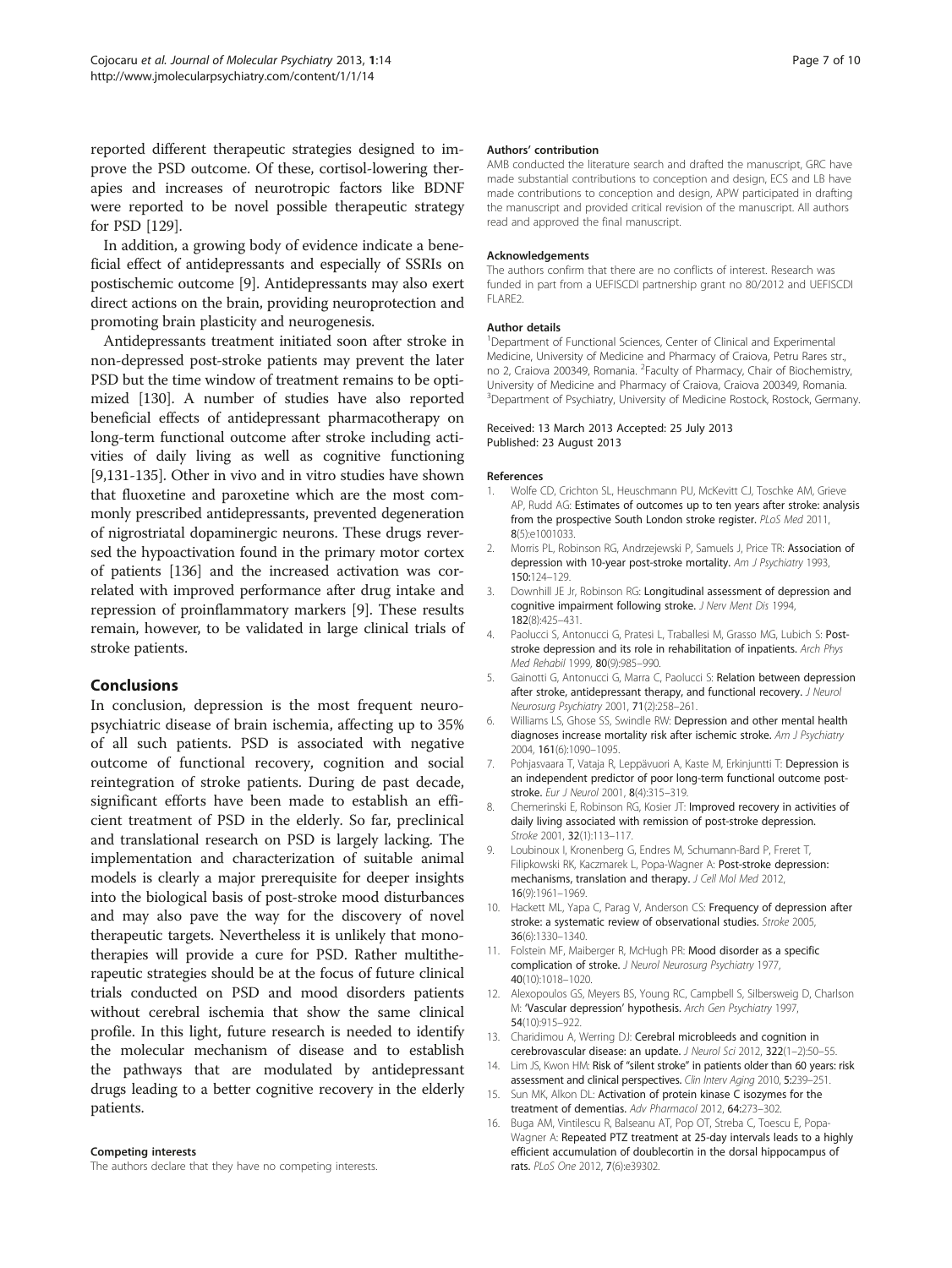<span id="page-6-0"></span>reported different therapeutic strategies designed to improve the PSD outcome. Of these, cortisol-lowering therapies and increases of neurotropic factors like BDNF were reported to be novel possible therapeutic strategy for PSD [\[129\]](#page-9-0).

In addition, a growing body of evidence indicate a beneficial effect of antidepressants and especially of SSRIs on postischemic outcome [9]. Antidepressants may also exert direct actions on the brain, providing neuroprotection and promoting brain plasticity and neurogenesis.

Antidepressants treatment initiated soon after stroke in non-depressed post-stroke patients may prevent the later PSD but the time window of treatment remains to be optimized [[130](#page-9-0)]. A number of studies have also reported beneficial effects of antidepressant pharmacotherapy on long-term functional outcome after stroke including activities of daily living as well as cognitive functioning [9,[131](#page-9-0)-[135](#page-9-0)]. Other in vivo and in vitro studies have shown that fluoxetine and paroxetine which are the most commonly prescribed antidepressants, prevented degeneration of nigrostriatal dopaminergic neurons. These drugs reversed the hypoactivation found in the primary motor cortex of patients [[136](#page-9-0)] and the increased activation was correlated with improved performance after drug intake and repression of proinflammatory markers [9]. These results remain, however, to be validated in large clinical trials of stroke patients.

# Conclusions

In conclusion, depression is the most frequent neuropsychiatric disease of brain ischemia, affecting up to 35% of all such patients. PSD is associated with negative outcome of functional recovery, cognition and social reintegration of stroke patients. During de past decade, significant efforts have been made to establish an efficient treatment of PSD in the elderly. So far, preclinical and translational research on PSD is largely lacking. The implementation and characterization of suitable animal models is clearly a major prerequisite for deeper insights into the biological basis of post-stroke mood disturbances and may also pave the way for the discovery of novel therapeutic targets. Nevertheless it is unlikely that monotherapies will provide a cure for PSD. Rather multitherapeutic strategies should be at the focus of future clinical trials conducted on PSD and mood disorders patients without cerebral ischemia that show the same clinical profile. In this light, future research is needed to identify the molecular mechanism of disease and to establish the pathways that are modulated by antidepressant drugs leading to a better cognitive recovery in the elderly patients.

#### Competing interests

The authors declare that they have no competing interests.

#### Authors' contribution

AMB conducted the literature search and drafted the manuscript, GRC have made substantial contributions to conception and design, ECS and LB have made contributions to conception and design, APW participated in drafting the manuscript and provided critical revision of the manuscript. All authors read and approved the final manuscript.

#### Acknowledgements

The authors confirm that there are no conflicts of interest. Research was funded in part from a UEFISCDI partnership grant no 80/2012 and UEFISCDI FLARE2.

#### Author details

<sup>1</sup>Department of Functional Sciences, Center of Clinical and Experimental Medicine, University of Medicine and Pharmacy of Craiova, Petru Rares str., no 2, Craiova 200349, Romania. <sup>2</sup> Faculty of Pharmacy, Chair of Biochemistry, University of Medicine and Pharmacy of Craiova, Craiova 200349, Romania. <sup>3</sup> Department of Psychiatry, University of Medicine Rostock, Rostock, Germany

#### Received: 13 March 2013 Accepted: 25 July 2013 Published: 23 August 2013

#### References

- 1. Wolfe CD, Crichton SL, Heuschmann PU, McKevitt CJ, Toschke AM, Grieve AP, Rudd AG: Estimates of outcomes up to ten years after stroke: analysis from the prospective South London stroke register. PLoS Med 2011, 8(5):e1001033.
- 2. Morris PL, Robinson RG, Andrzejewski P, Samuels J, Price TR: Association of depression with 10-year post-stroke mortality. Am J Psychiatry 1993, 150:124–129.
- 3. Downhill JE Jr, Robinson RG: Longitudinal assessment of depression and cognitive impairment following stroke. J Nerv Ment Dis 1994, 182(8):425–431.
- Paolucci S, Antonucci G, Pratesi L, Traballesi M, Grasso MG, Lubich S: Poststroke depression and its role in rehabilitation of inpatients. Arch Phys Med Rehabil 1999, 80(9):985–990.
- 5. Gainotti G, Antonucci G, Marra C, Paolucci S: Relation between depression after stroke, antidepressant therapy, and functional recovery. J Neurol Neurosurg Psychiatry 2001, 71(2):258–261.
- 6. Williams LS, Ghose SS, Swindle RW: Depression and other mental health diagnoses increase mortality risk after ischemic stroke. Am J Psychiatry 2004, 161(6):1090–1095.
- 7. Pohjasvaara T, Vataja R, Leppävuori A, Kaste M, Erkinjuntti T: Depression is an independent predictor of poor long-term functional outcome poststroke. Eur J Neurol 2001, 8(4):315-319.
- 8. Chemerinski E, Robinson RG, Kosier JT: Improved recovery in activities of daily living associated with remission of post-stroke depression. Stroke 2001, 32(1):113–117.
- 9. Loubinoux I, Kronenberg G, Endres M, Schumann-Bard P, Freret T, Filipkowski RK, Kaczmarek L, Popa-Wagner A: Post-stroke depression: mechanisms, translation and therapy. J Cell Mol Med 2012, 16(9):1961–1969.
- 10. Hackett ML, Yapa C, Parag V, Anderson CS: Frequency of depression after stroke: a systematic review of observational studies. Stroke 2005, 36(6):1330–1340.
- 11. Folstein MF, Maiberger R, McHugh PR: Mood disorder as a specific complication of stroke. J Neurol Neurosurg Psychiatry 1977, 40(10):1018–1020.
- 12. Alexopoulos GS, Meyers BS, Young RC, Campbell S, Silbersweig D, Charlson M: 'Vascular depression' hypothesis. Arch Gen Psychiatry 1997, 54(10):915–922.
- 13. Charidimou A, Werring DJ: Cerebral microbleeds and cognition in cerebrovascular disease: an update. J Neurol Sci 2012, 322(1–2):50–55.
- 14. Lim JS, Kwon HM: Risk of "silent stroke" in patients older than 60 years: risk assessment and clinical perspectives. Clin Interv Aging 2010, 5:239-251.
- 15. Sun MK, Alkon DL: Activation of protein kinase C isozymes for the treatment of dementias. Adv Pharmacol 2012, 64:273–302.
- 16. Buga AM, Vintilescu R, Balseanu AT, Pop OT, Streba C, Toescu E, Popa-Wagner A: Repeated PTZ treatment at 25-day intervals leads to a highly efficient accumulation of doublecortin in the dorsal hippocampus of rats. PLoS One 2012, 7(6):e39302.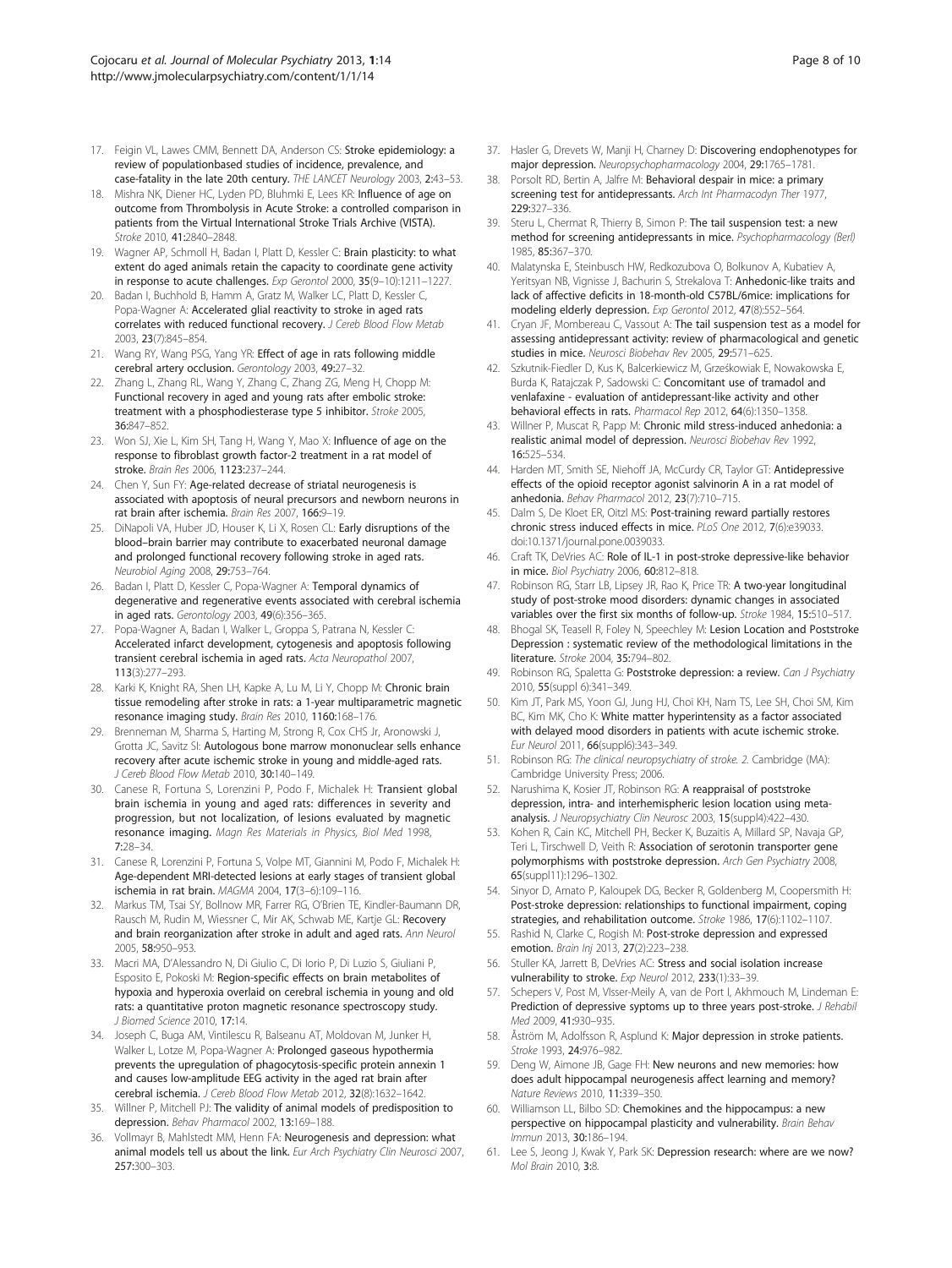- <span id="page-7-0"></span>17. Feigin VL, Lawes CMM, Bennett DA, Anderson CS: Stroke epidemiology: a review of populationbased studies of incidence, prevalence, and case-fatality in the late 20th century. THE LANCET Neurology 2003, 2:43–53.
- 18. Mishra NK, Diener HC, Lyden PD, Bluhmki E, Lees KR: Influence of age on outcome from Thrombolysis in Acute Stroke: a controlled comparison in patients from the Virtual International Stroke Trials Archive (VISTA). Stroke 2010, 41:2840–2848.
- 19. Wagner AP, Schmoll H, Badan I, Platt D, Kessler C: Brain plasticity: to what extent do aged animals retain the capacity to coordinate gene activity in response to acute challenges. Exp Gerontol 2000, 35(9–10):1211–1227.
- 20. Badan I, Buchhold B, Hamm A, Gratz M, Walker LC, Platt D, Kessler C, Popa-Wagner A: Accelerated glial reactivity to stroke in aged rats correlates with reduced functional recovery. J Cereb Blood Flow Metab 2003, 23(7):845–854.
- 21. Wang RY, Wang PSG, Yang YR: Effect of age in rats following middle cerebral artery occlusion. Gerontology 2003, 49:27–32.
- 22. Zhang L, Zhang RL, Wang Y, Zhang C, Zhang ZG, Meng H, Chopp M: Functional recovery in aged and young rats after embolic stroke: treatment with a phosphodiesterase type 5 inhibitor. Stroke 2005, 36:847–852.
- 23. Won SJ, Xie L, Kim SH, Tang H, Wang Y, Mao X: Influence of age on the response to fibroblast growth factor-2 treatment in a rat model of stroke. Brain Res 2006, 1123:237–244.
- 24. Chen Y, Sun FY: Age-related decrease of striatal neurogenesis is associated with apoptosis of neural precursors and newborn neurons in rat brain after ischemia. Brain Res 2007, 166:9–19.
- 25. DiNapoli VA, Huber JD, Houser K, Li X, Rosen CL: Early disruptions of the blood–brain barrier may contribute to exacerbated neuronal damage and prolonged functional recovery following stroke in aged rats. Neurobiol Aging 2008, 29:753–764.
- 26. Badan I, Platt D, Kessler C, Popa-Wagner A: Temporal dynamics of degenerative and regenerative events associated with cerebral ischemia in aged rats. Gerontology 2003, 49(6):356–365.
- 27. Popa-Wagner A, Badan I, Walker L, Groppa S, Patrana N, Kessler C: Accelerated infarct development, cytogenesis and apoptosis following transient cerebral ischemia in aged rats. Acta Neuropathol 2007, 113(3):277–293.
- 28. Karki K, Knight RA, Shen LH, Kapke A, Lu M, Li Y, Chopp M: Chronic brain tissue remodeling after stroke in rats: a 1-year multiparametric magnetic resonance imaging study. Brain Res 2010, 1160:168–176.
- 29. Brenneman M, Sharma S, Harting M, Strong R, Cox CHS Jr, Aronowski J, Grotta JC, Savitz SI: Autologous bone marrow mononuclear sells enhance recovery after acute ischemic stroke in young and middle-aged rats. J Cereb Blood Flow Metab 2010, 30:140-149.
- 30. Canese R, Fortuna S, Lorenzini P, Podo F, Michalek H: Transient global brain ischemia in young and aged rats: differences in severity and progression, but not localization, of lesions evaluated by magnetic resonance imaging. Magn Res Materials in Physics, Biol Med 1998, 7:28–34.
- 31. Canese R, Lorenzini P, Fortuna S, Volpe MT, Giannini M, Podo F, Michalek H: Age-dependent MRI-detected lesions at early stages of transient global ischemia in rat brain. MAGMA 2004, 17(3–6):109–116.
- 32. Markus TM, Tsai SY, Bollnow MR, Farrer RG, O'Brien TE, Kindler-Baumann DR, Rausch M, Rudin M, Wiessner C, Mir AK, Schwab ME, Kartje GL: Recovery and brain reorganization after stroke in adult and aged rats. Ann Neurol 2005, 58:950–953.
- 33. Macri MA, D'Alessandro N, Di Giulio C, Di Iorio P, Di Luzio S, Giuliani P, Esposito E, Pokoski M: Region-specific effects on brain metabolites of hypoxia and hyperoxia overlaid on cerebral ischemia in young and old rats: a quantitative proton magnetic resonance spectroscopy study. J Biomed Science 2010, 17:14.
- 34. Joseph C, Buga AM, Vintilescu R, Balseanu AT, Moldovan M, Junker H, Walker L, Lotze M, Popa-Wagner A: Prolonged gaseous hypothermia prevents the upregulation of phagocytosis-specific protein annexin 1 and causes low-amplitude EEG activity in the aged rat brain after cerebral ischemia. J Cereb Blood Flow Metab 2012, 32(8):1632–1642.
- 35. Willner P, Mitchell PJ: The validity of animal models of predisposition to depression. Behav Pharmacol 2002, 13:169–188.
- 36. Vollmayr B, Mahlstedt MM, Henn FA: Neurogenesis and depression: what animal models tell us about the link. Eur Arch Psychiatry Clin Neurosci 2007, 257:300–303.
- 37. Hasler G, Drevets W, Manji H, Charney D: Discovering endophenotypes for major depression. Neuropsychopharmacology 2004, 29:1765–1781.
- 38. Porsolt RD, Bertin A, Jalfre M: Behavioral despair in mice: a primary screening test for antidepressants. Arch Int Pharmacodyn Ther 1977, 229:327–336.
- 39. Steru L, Chermat R, Thierry B, Simon P: The tail suspension test: a new method for screening antidepressants in mice. Psychopharmacology (Berl) 1985, 85:367–370.
- 40. Malatynska E, Steinbusch HW, Redkozubova O, Bolkunov A, Kubatiev A, Yeritsyan NB, Vignisse J, Bachurin S, Strekalova T: Anhedonic-like traits and lack of affective deficits in 18-month-old C57BL/6mice: implications for modeling elderly depression. Exp Gerontol 2012, 47(8):552–564.
- 41. Cryan JF, Mombereau C, Vassout A: The tail suspension test as a model for assessing antidepressant activity: review of pharmacological and genetic studies in mice. Neurosci Biobehav Rev 2005, 29:571–625.
- 42. Szkutnik-Fiedler D, Kus K, Balcerkiewicz M, Grześkowiak E, Nowakowska E, Burda K, Ratajczak P, Sadowski C: Concomitant use of tramadol and venlafaxine - evaluation of antidepressant-like activity and other behavioral effects in rats. Pharmacol Rep 2012, 64(6):1350–1358.
- 43. Willner P, Muscat R, Papp M: Chronic mild stress-induced anhedonia: a realistic animal model of depression. Neurosci Biobehav Rev 1992, 16:525–534.
- 44. Harden MT, Smith SE, Niehoff JA, McCurdy CR, Taylor GT: Antidepressive effects of the opioid receptor agonist salvinorin A in a rat model of anhedonia. Behav Pharmacol 2012, 23(7):710–715.
- 45. Dalm S, De Kloet ER, Oitzl MS: Post-training reward partially restores chronic stress induced effects in mice. PLoS One 2012, 7(6):e39033. doi[:10.1371/journal.pone.0039033.](http://dx.doi.org/10.1371/journal.pone.0039033)
- 46. Craft TK, DeVries AC: Role of IL-1 in post-stroke depressive-like behavior in mice. Biol Psychiatry 2006, 60:812–818.
- 47. Robinson RG, Starr LB, Lipsey JR, Rao K, Price TR: A two-year longitudinal study of post-stroke mood disorders: dynamic changes in associated variables over the first six months of follow-up. Stroke 1984, 15:510–517.
- 48. Bhogal SK, Teasell R, Foley N, Speechley M: Lesion Location and Poststroke Depression : systematic review of the methodological limitations in the literature. Stroke 2004, 35:794–802.
- 49. Robinson RG, Spaletta G: Poststroke depression: a review. Can J Psychiatry 2010, 55(suppl 6):341–349.
- 50. Kim JT, Park MS, Yoon GJ, Jung HJ, Choi KH, Nam TS, Lee SH, Choi SM, Kim BC, Kim MK, Cho K: White matter hyperintensity as a factor associated with delayed mood disorders in patients with acute ischemic stroke. Eur Neurol 2011, 66(suppl6):343–349.
- 51. Robinson RG: The clinical neuropsychiatry of stroke. 2. Cambridge (MA): Cambridge University Press; 2006.
- 52. Narushima K, Kosier JT, Robinson RG: A reappraisal of poststroke depression, intra- and interhemispheric lesion location using metaanalysis. J Neuropsychiatry Clin Neurosc 2003, 15(suppl4):422-430.
- 53. Kohen R, Cain KC, Mitchell PH, Becker K, Buzaitis A, Millard SP, Navaja GP, Teri L, Tirschwell D, Veith R: Association of serotonin transporter gene polymorphisms with poststroke depression. Arch Gen Psychiatry 2008, 65(suppl11):1296–1302.
- 54. Sinyor D, Amato P, Kaloupek DG, Becker R, Goldenberg M, Coopersmith H: Post-stroke depression: relationships to functional impairment, coping strategies, and rehabilitation outcome. Stroke 1986, 17(6):1102–1107.
- 55. Rashid N, Clarke C, Rogish M: Post-stroke depression and expressed emotion. Brain Inj 2013, 27(2):223–238.
- 56. Stuller KA, Jarrett B, DeVries AC: Stress and social isolation increase vulnerability to stroke. Exp Neurol 2012, 233(1):33-39.
- 57. Schepers V, Post M, VIsser-Meily A, van de Port I, Akhmouch M, Lindeman E: Prediction of depressive syptoms up to three years post-stroke. J Rehabil Med 2009, 41:930–935.
- 58. Åström M, Adolfsson R, Asplund K: Major depression in stroke patients. Stroke 1993, 24:976–982.
- 59. Deng W, Aimone JB, Gage FH: New neurons and new memories: how does adult hippocampal neurogenesis affect learning and memory? Nature Reviews 2010, 11:339–350.
- 60. Williamson LL, Bilbo SD: Chemokines and the hippocampus: a new perspective on hippocampal plasticity and vulnerability. Brain Behav Immun 2013, 30:186–194.
- 61. Lee S, Jeong J, Kwak Y, Park SK: Depression research: where are we now? Mol Brain 2010, 3:8.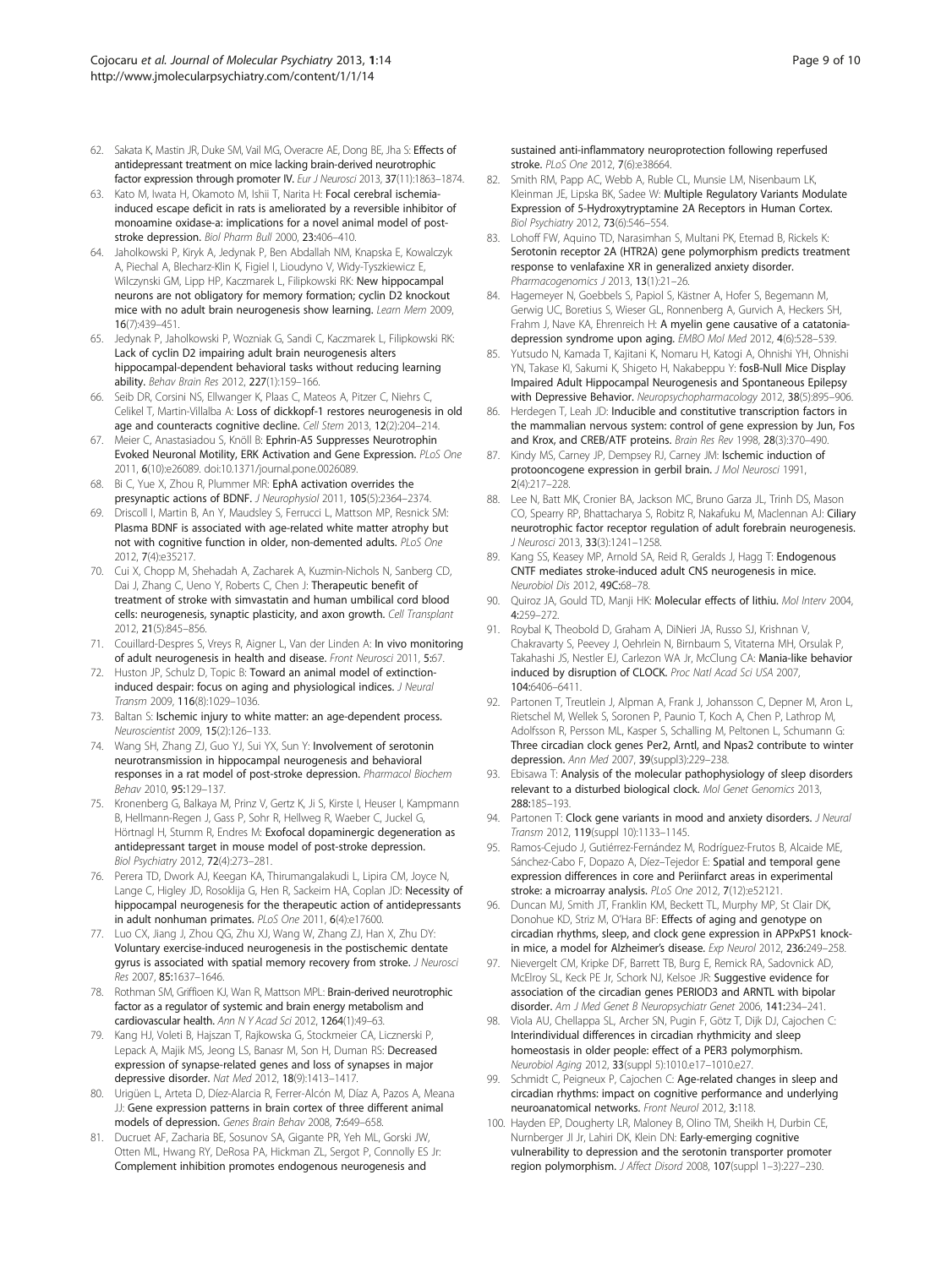- <span id="page-8-0"></span>62. Sakata K, Mastin JR, Duke SM, Vail MG, Overacre AE, Dong BE, Jha S: Effects of antidepressant treatment on mice lacking brain-derived neurotrophic factor expression through promoter IV. Eur J Neurosci 2013, 37(11):1863–1874.
- 63. Kato M, Iwata H, Okamoto M, Ishii T, Narita H: Focal cerebral ischemiainduced escape deficit in rats is ameliorated by a reversible inhibitor of monoamine oxidase-a: implications for a novel animal model of poststroke depression. Biol Pharm Bull 2000, 23:406–410.
- 64. Jaholkowski P, Kiryk A, Jedynak P, Ben Abdallah NM, Knapska E, Kowalczyk A, Piechal A, Blecharz-Klin K, Figiel I, Lioudyno V, Widy-Tyszkiewicz E, Wilczynski GM, Lipp HP, Kaczmarek L, Filipkowski RK: New hippocampal neurons are not obligatory for memory formation; cyclin D2 knockout mice with no adult brain neurogenesis show learning. Learn Mem 2009, 16(7):439–451.
- 65. Jedynak P, Jaholkowski P, Wozniak G, Sandi C, Kaczmarek L, Filipkowski RK: Lack of cyclin D2 impairing adult brain neurogenesis alters hippocampal-dependent behavioral tasks without reducing learning ability. Behav Brain Res 2012, 227(1):159–166.
- 66. Seib DR, Corsini NS, Ellwanger K, Plaas C, Mateos A, Pitzer C, Niehrs C, Celikel T, Martin-Villalba A: Loss of dickkopf-1 restores neurogenesis in old age and counteracts cognitive decline. Cell Stem 2013, 12(2):204–214.
- 67. Meier C, Anastasiadou S, Knöll B: Ephrin-A5 Suppresses Neurotrophin Evoked Neuronal Motility, ERK Activation and Gene Expression. PLoS One 2011, 6(10):e26089. doi[:10.1371/journal.pone.0026089.](http://dx.doi.org/10.1371/journal.pone.0026089)
- 68. Bi C, Yue X, Zhou R, Plummer MR: EphA activation overrides the presynaptic actions of BDNF. J Neurophysiol 2011, 105(5):2364–2374.
- 69. Driscoll I, Martin B, An Y, Maudsley S, Ferrucci L, Mattson MP, Resnick SM: Plasma BDNF is associated with age-related white matter atrophy but not with cognitive function in older, non-demented adults. PLoS One 2012, 7(4):e35217.
- 70. Cui X, Chopp M, Shehadah A, Zacharek A, Kuzmin-Nichols N, Sanberg CD, Dai J, Zhang C, Ueno Y, Roberts C, Chen J: Therapeutic benefit of treatment of stroke with simvastatin and human umbilical cord blood cells: neurogenesis, synaptic plasticity, and axon growth. Cell Transplant 2012, 21(5):845–856.
- 71. Couillard-Despres S, Vreys R, Aigner L, Van der Linden A: In vivo monitoring of adult neurogenesis in health and disease. Front Neurosci 2011, 5:67.
- 72. Huston JP, Schulz D, Topic B: Toward an animal model of extinctioninduced despair: focus on aging and physiological indices. J Neural Transm 2009, 116(8):1029–1036.
- 73. Baltan S: Ischemic injury to white matter: an age-dependent process. Neuroscientist 2009, 15(2):126–133.
- 74. Wang SH, Zhang ZJ, Guo YJ, Sui YX, Sun Y: Involvement of serotonin neurotransmission in hippocampal neurogenesis and behavioral responses in a rat model of post-stroke depression. Pharmacol Biochem Behav 2010, 95:129–137.
- 75. Kronenberg G, Balkaya M, Prinz V, Gertz K, Ji S, Kirste I, Heuser I, Kampmann B, Hellmann-Regen J, Gass P, Sohr R, Hellweg R, Waeber C, Juckel G, Hörtnagl H, Stumm R, Endres M: Exofocal dopaminergic degeneration as antidepressant target in mouse model of post-stroke depression. Biol Psychiatry 2012, 72(4):273–281.
- 76. Perera TD, Dwork AJ, Keegan KA, Thirumangalakudi L, Lipira CM, Joyce N, Lange C, Higley JD, Rosoklija G, Hen R, Sackeim HA, Coplan JD: Necessity of hippocampal neurogenesis for the therapeutic action of antidepressants in adult nonhuman primates. PLoS One 2011, 6(4):e17600.
- 77. Luo CX, Jiang J, Zhou QG, Zhu XJ, Wang W, Zhang ZJ, Han X, Zhu DY: Voluntary exercise-induced neurogenesis in the postischemic dentate gyrus is associated with spatial memory recovery from stroke. J Neurosci Res 2007, 85:1637–1646.
- 78. Rothman SM, Griffioen KJ, Wan R, Mattson MPL: Brain-derived neurotrophic factor as a regulator of systemic and brain energy metabolism and cardiovascular health. Ann N Y Acad Sci 2012, 1264(1):49–63.
- 79. Kang HJ, Voleti B, Hajszan T, Rajkowska G, Stockmeier CA, Licznerski P, Lepack A, Majik MS, Jeong LS, Banasr M, Son H, Duman RS: Decreased expression of synapse-related genes and loss of synapses in major depressive disorder. Nat Med 2012, 18(9):1413–1417.
- 80. Urigüen L, Arteta D, Díez-Alarcia R, Ferrer-Alcón M, Díaz A, Pazos A, Meana JJ: Gene expression patterns in brain cortex of three different animal models of depression. Genes Brain Behav 2008, 7:649–658.
- 81. Ducruet AF, Zacharia BE, Sosunov SA, Gigante PR, Yeh ML, Gorski JW, Otten ML, Hwang RY, DeRosa PA, Hickman ZL, Sergot P, Connolly ES Jr: Complement inhibition promotes endogenous neurogenesis and

sustained anti-inflammatory neuroprotection following reperfused stroke. PLoS One 2012, 7(6):e38664.

- 82. Smith RM, Papp AC, Webb A, Ruble CL, Munsie LM, Nisenbaum LK, Kleinman JE, Lipska BK, Sadee W: Multiple Regulatory Variants Modulate Expression of 5-Hydroxytryptamine 2A Receptors in Human Cortex. Biol Psychiatry 2012, 73(6):546–554.
- 83. Lohoff FW, Aquino TD, Narasimhan S, Multani PK, Etemad B, Rickels K: Serotonin receptor 2A (HTR2A) gene polymorphism predicts treatment response to venlafaxine XR in generalized anxiety disorder. Pharmacogenomics J 2013, 13(1):21–26.
- 84. Hagemeyer N, Goebbels S, Papiol S, Kästner A, Hofer S, Begemann M, Gerwig UC, Boretius S, Wieser GL, Ronnenberg A, Gurvich A, Heckers SH, Frahm J, Nave KA, Ehrenreich H: A myelin gene causative of a catatoniadepression syndrome upon aging. EMBO Mol Med 2012, 4(6):528–539.
- 85. Yutsudo N, Kamada T, Kajitani K, Nomaru H, Katogi A, Ohnishi YH, Ohnishi YN, Takase KI, Sakumi K, Shigeto H, Nakabeppu Y: fosB-Null Mice Display Impaired Adult Hippocampal Neurogenesis and Spontaneous Epilepsy with Depressive Behavior. Neuropsychopharmacology 2012, 38(5):895–906.
- 86. Herdegen T, Leah JD: Inducible and constitutive transcription factors in the mammalian nervous system: control of gene expression by Jun, Fos and Krox, and CREB/ATF proteins. Brain Res Rev 1998, 28(3):370–490.
- Kindy MS, Carney JP, Dempsey RJ, Carney JM: Ischemic induction of protooncogene expression in gerbil brain. J Mol Neurosci 1991, 2(4):217–228.
- 88. Lee N, Batt MK, Cronier BA, Jackson MC, Bruno Garza JL, Trinh DS, Mason CO, Spearry RP, Bhattacharya S, Robitz R, Nakafuku M, Maclennan AJ: Ciliary neurotrophic factor receptor regulation of adult forebrain neurogenesis. J Neurosci 2013, 33(3):1241–1258.
- 89. Kang SS, Keasey MP, Arnold SA, Reid R, Geralds J, Hagg T: Endogenous CNTF mediates stroke-induced adult CNS neurogenesis in mice. Neurobiol Dis 2012, 49C:68–78.
- 90. Quiroz JA, Gould TD, Manji HK: Molecular effects of lithiu. Mol Interv 2004, 4:259–272.
- 91. Roybal K, Theobold D, Graham A, DiNieri JA, Russo SJ, Krishnan V, Chakravarty S, Peevey J, Oehrlein N, Birnbaum S, Vitaterna MH, Orsulak P, Takahashi JS, Nestler EJ, Carlezon WA Jr, McClung CA: Mania-like behavior induced by disruption of CLOCK. Proc Natl Acad Sci USA 2007, 104:6406–6411.
- 92. Partonen T, Treutlein J, Alpman A, Frank J, Johansson C, Depner M, Aron L, Rietschel M, Wellek S, Soronen P, Paunio T, Koch A, Chen P, Lathrop M, Adolfsson R, Persson ML, Kasper S, Schalling M, Peltonen L, Schumann G: Three circadian clock genes Per2, Arntl, and Npas2 contribute to winter depression. Ann Med 2007, 39(suppl3):229–238.
- 93. Ebisawa T: Analysis of the molecular pathophysiology of sleep disorders relevant to a disturbed biological clock. Mol Genet Genomics 2013, 288:185–193.
- 94. Partonen T: Clock gene variants in mood and anxiety disorders. J Neural Transm 2012, 119(suppl 10):1133–1145.
- 95. Ramos-Cejudo J, Gutiérrez-Fernández M, Rodríguez-Frutos B, Alcaide ME, Sánchez-Cabo F, Dopazo A, Díez-Tejedor E: Spatial and temporal gene expression differences in core and Periinfarct areas in experimental stroke: a microarray analysis. PLoS One 2012, 7(12):e52121.
- 96. Duncan MJ, Smith JT, Franklin KM, Beckett TL, Murphy MP, St Clair DK, Donohue KD, Striz M, O'Hara BF: Effects of aging and genotype on circadian rhythms, sleep, and clock gene expression in APPxPS1 knockin mice, a model for Alzheimer's disease. Exp Neurol 2012, 236:249-258.
- 97. Nievergelt CM, Kripke DF, Barrett TB, Burg E, Remick RA, Sadovnick AD, McElroy SL, Keck PE Jr, Schork NJ, Kelsoe JR: Suggestive evidence for association of the circadian genes PERIOD3 and ARNTL with bipolar disorder. Am J Med Genet B Neuropsychiatr Genet 2006, 141:234–241.
- 98. Viola AU, Chellappa SL, Archer SN, Pugin F, Götz T, Dijk DJ, Cajochen C: Interindividual differences in circadian rhythmicity and sleep homeostasis in older people: effect of a PER3 polymorphism. Neurobiol Aging 2012, 33(suppl 5):1010.e17–1010.e27.
- 99. Schmidt C, Peigneux P, Cajochen C: Age-related changes in sleep and circadian rhythms: impact on cognitive performance and underlying neuroanatomical networks. Front Neurol 2012, 3:118.
- 100. Hayden EP, Dougherty LR, Maloney B, Olino TM, Sheikh H, Durbin CE, Nurnberger JI Jr, Lahiri DK, Klein DN: Early-emerging cognitive vulnerability to depression and the serotonin transporter promoter region polymorphism. J Affect Disord 2008, 107(suppl 1–3):227–230.